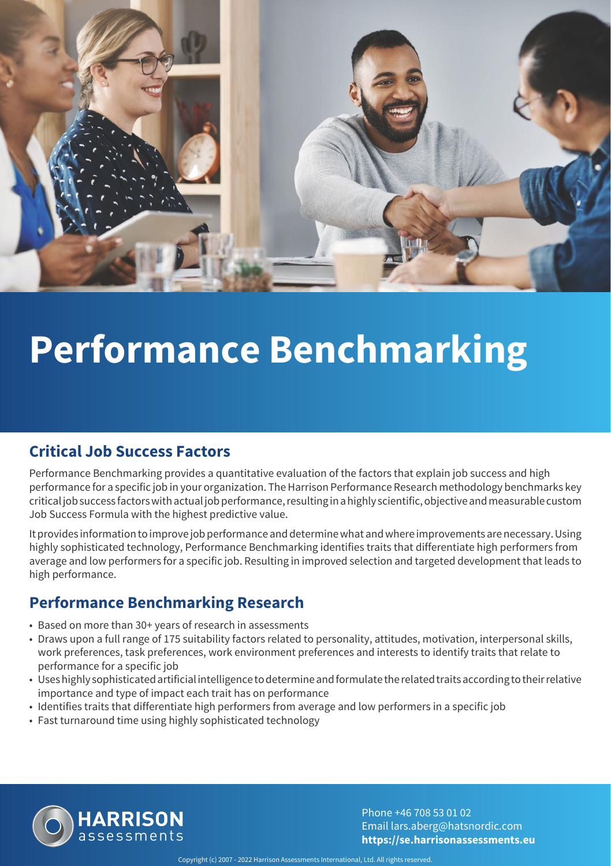

## **Performance Benchmarking**

#### **Critical Job Success Factors**

Performance Benchmarking provides a quantitative evaluation of the factors that explain job success and high performance for a specific job in your organization. The Harrison Performance Research methodology benchmarks key critical job success factors with actual job performance, resulting in a highly scientific, objective and measurable custom Job Success Formula with the highest predictive value.

It provides information to improve job performance and determine what and where improvements are necessary. Using highly sophisticated technology, Performance Benchmarking identifies traits that differentiate high performers from average and low performers for a specific job. Resulting in improved selection and targeted development that leads to high performance.

#### **Performance Benchmarking Research**

- Based on more than 30+ years of research in assessments
- Draws upon a full range of 175 suitability factors related to personality, attitudes, motivation, interpersonal skills, work preferences, task preferences, work environment preferences and interests to identify traits that relate to performance for a specific job
- Uses highly sophisticated artificial intelligence to determine and formulate the related traits according to their relative importance and type of impact each trait has on performance
- Identifies traits that differentiate high performers from average and low performers in a specific job
- Fast turnaround time using highly sophisticated technology



Phone +46 708 53 01 02 Email lars.aberg@hatsnordic.com **https://se.harrisonassessments.eu**